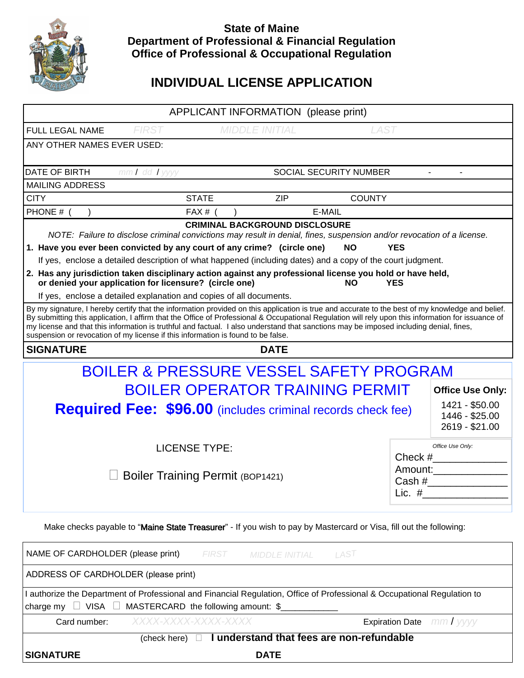

## **State of Maine Department of Professional & Financial Regulation Office of Professional & Occupational Regulation**

# **INDIVIDUAL LICENSE APPLICATION**

| APPLICANT INFORMATION (please print)                                                                                                                                                                                                                                                                                                                                                                                                                                                                                                 |                                             |                       |             |                                                    |                                 |                                |  |
|--------------------------------------------------------------------------------------------------------------------------------------------------------------------------------------------------------------------------------------------------------------------------------------------------------------------------------------------------------------------------------------------------------------------------------------------------------------------------------------------------------------------------------------|---------------------------------------------|-----------------------|-------------|----------------------------------------------------|---------------------------------|--------------------------------|--|
| FULL LEGAL NAME                                                                                                                                                                                                                                                                                                                                                                                                                                                                                                                      | <b>FIRST</b>                                | <b>MIDDLE INITIAL</b> |             | <b>LAST</b>                                        |                                 |                                |  |
| ANY OTHER NAMES EVER USED:                                                                                                                                                                                                                                                                                                                                                                                                                                                                                                           |                                             |                       |             |                                                    |                                 |                                |  |
| DATE OF BIRTH                                                                                                                                                                                                                                                                                                                                                                                                                                                                                                                        | SOCIAL SECURITY NUMBER<br>$mmI$ dd $I$ yyyy |                       |             |                                                    |                                 |                                |  |
| <b>MAILING ADDRESS</b>                                                                                                                                                                                                                                                                                                                                                                                                                                                                                                               |                                             |                       |             |                                                    |                                 |                                |  |
| <b>CITY</b>                                                                                                                                                                                                                                                                                                                                                                                                                                                                                                                          |                                             | <b>STATE</b>          | <b>ZIP</b>  | <b>COUNTY</b>                                      |                                 |                                |  |
| PHONE # (                                                                                                                                                                                                                                                                                                                                                                                                                                                                                                                            |                                             | $FAX#$ (              |             | E-MAIL                                             |                                 |                                |  |
| <b>CRIMINAL BACKGROUND DISCLOSURE</b><br>NOTE: Failure to disclose criminal convictions may result in denial, fines, suspension and/or revocation of a license.<br>1. Have you ever been convicted by any court of any crime? (circle one)<br><b>NO</b><br><b>YES</b>                                                                                                                                                                                                                                                                |                                             |                       |             |                                                    |                                 |                                |  |
| If yes, enclose a detailed description of what happened (including dates) and a copy of the court judgment.                                                                                                                                                                                                                                                                                                                                                                                                                          |                                             |                       |             |                                                    |                                 |                                |  |
| 2. Has any jurisdiction taken disciplinary action against any professional license you hold or have held,<br>or denied your application for licensure? (circle one)<br><b>YES</b><br><b>NO</b><br>If yes, enclose a detailed explanation and copies of all documents.                                                                                                                                                                                                                                                                |                                             |                       |             |                                                    |                                 |                                |  |
| By my signature, I hereby certify that the information provided on this application is true and accurate to the best of my knowledge and belief.<br>By submitting this application, I affirm that the Office of Professional & Occupational Regulation will rely upon this information for issuance of<br>my license and that this information is truthful and factual. I also understand that sanctions may be imposed including denial, fines,<br>suspension or revocation of my license if this information is found to be false. |                                             |                       |             |                                                    |                                 |                                |  |
| <b>SIGNATURE</b>                                                                                                                                                                                                                                                                                                                                                                                                                                                                                                                     |                                             |                       | <b>DATE</b> |                                                    |                                 |                                |  |
| <b>BOILER &amp; PRESSURE VESSEL SAFETY PROGRAM</b>                                                                                                                                                                                                                                                                                                                                                                                                                                                                                   |                                             |                       |             |                                                    |                                 |                                |  |
| <b>BOILER OPERATOR TRAINING PERMIT</b><br><b>Office Use Only:</b>                                                                                                                                                                                                                                                                                                                                                                                                                                                                    |                                             |                       |             |                                                    |                                 |                                |  |
| <b>Required Fee: \$96.00</b> (includes criminal records check fee)                                                                                                                                                                                                                                                                                                                                                                                                                                                                   |                                             |                       |             | 1421 - \$50.00<br>1446 - \$25.00<br>2619 - \$21.00 |                                 |                                |  |
|                                                                                                                                                                                                                                                                                                                                                                                                                                                                                                                                      | <b>LICENSE TYPE:</b>                        |                       |             |                                                    |                                 | Office Use Only:               |  |
|                                                                                                                                                                                                                                                                                                                                                                                                                                                                                                                                      | <b>Boiler Training Permit (BOP1421)</b>     |                       |             |                                                    | Amount:<br>Cash $#$<br>Lic. $#$ |                                |  |
| Make checks payable to "Maine State Treasurer" - If you wish to pay by Mastercard or Visa, fill out the following:                                                                                                                                                                                                                                                                                                                                                                                                                   |                                             |                       |             |                                                    |                                 |                                |  |
| NAME OF CARDHOLDER (please print)<br><i>FIRST</i><br>LAST<br><b>MIDDLE INITIAL</b>                                                                                                                                                                                                                                                                                                                                                                                                                                                   |                                             |                       |             |                                                    |                                 |                                |  |
| ADDRESS OF CARDHOLDER (please print)                                                                                                                                                                                                                                                                                                                                                                                                                                                                                                 |                                             |                       |             |                                                    |                                 |                                |  |
| I authorize the Department of Professional and Financial Regulation, Office of Professional & Occupational Regulation to<br>MASTERCARD the following amount: \$<br>charge my $\Box$ VISA $\Box$                                                                                                                                                                                                                                                                                                                                      |                                             |                       |             |                                                    |                                 |                                |  |
| Card number:                                                                                                                                                                                                                                                                                                                                                                                                                                                                                                                         | XXXX-XXXX-XXXX-XXXX                         |                       |             |                                                    |                                 | <b>Expiration Date</b> mm/yyyy |  |
| I understand that fees are non-refundable<br>(check here) $\Box$                                                                                                                                                                                                                                                                                                                                                                                                                                                                     |                                             |                       |             |                                                    |                                 |                                |  |
| <b>SIGNATURE</b>                                                                                                                                                                                                                                                                                                                                                                                                                                                                                                                     |                                             |                       | <b>DATE</b> |                                                    |                                 |                                |  |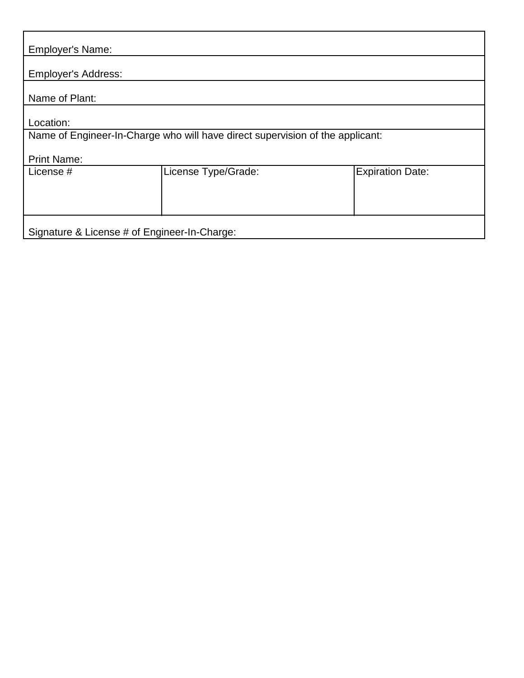| <b>Employer's Name:</b>                                                       |                     |                         |  |  |  |  |
|-------------------------------------------------------------------------------|---------------------|-------------------------|--|--|--|--|
| <b>Employer's Address:</b>                                                    |                     |                         |  |  |  |  |
| Name of Plant:                                                                |                     |                         |  |  |  |  |
| Location:                                                                     |                     |                         |  |  |  |  |
| Name of Engineer-In-Charge who will have direct supervision of the applicant: |                     |                         |  |  |  |  |
| <b>Print Name:</b>                                                            |                     |                         |  |  |  |  |
| License #                                                                     | License Type/Grade: | <b>Expiration Date:</b> |  |  |  |  |
|                                                                               |                     |                         |  |  |  |  |
|                                                                               |                     |                         |  |  |  |  |
| Signature & License # of Engineer-In-Charge:                                  |                     |                         |  |  |  |  |